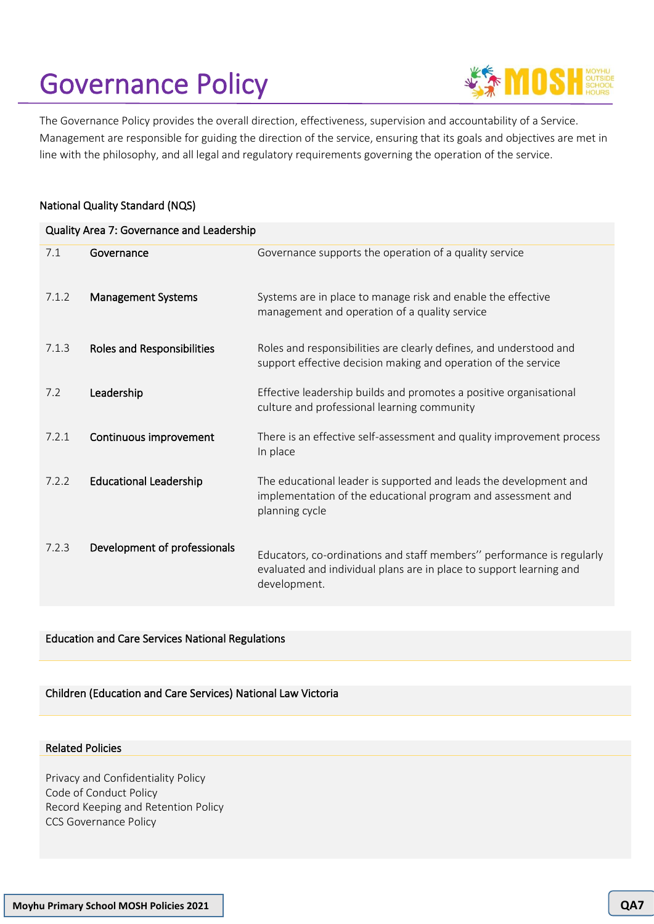# Governance Policy



The Governance Policy provides the overall direction, effectiveness, supervision and accountability of a Service. Management are responsible for guiding the direction of the service, ensuring that its goals and objectives are met in line with the philosophy, and all legal and regulatory requirements governing the operation of the service.

## National Quality Standard (NQS)

| Quality Area 7: Governance and Leadership |                               |                                                                                                                                                              |  |  |
|-------------------------------------------|-------------------------------|--------------------------------------------------------------------------------------------------------------------------------------------------------------|--|--|
| 7.1                                       | Governance                    | Governance supports the operation of a quality service                                                                                                       |  |  |
| 7.1.2                                     | <b>Management Systems</b>     | Systems are in place to manage risk and enable the effective<br>management and operation of a quality service                                                |  |  |
| 7.1.3                                     | Roles and Responsibilities    | Roles and responsibilities are clearly defines, and understood and<br>support effective decision making and operation of the service                         |  |  |
| 7.2                                       | Leadership                    | Effective leadership builds and promotes a positive organisational<br>culture and professional learning community                                            |  |  |
| 7.2.1                                     | Continuous improvement        | There is an effective self-assessment and quality improvement process<br>In place                                                                            |  |  |
| 7.2.2                                     | <b>Educational Leadership</b> | The educational leader is supported and leads the development and<br>implementation of the educational program and assessment and<br>planning cycle          |  |  |
| 7.2.3                                     | Development of professionals  | Educators, co-ordinations and staff members" performance is regularly<br>evaluated and individual plans are in place to support learning and<br>development. |  |  |

## Education and Care Services National Regulations

#### Children (Education and Care Services) National Law Victoria

#### Related Policies

Privacy and Confidentiality Policy Code of Conduct Policy Record Keeping and Retention Policy CCS Governance Policy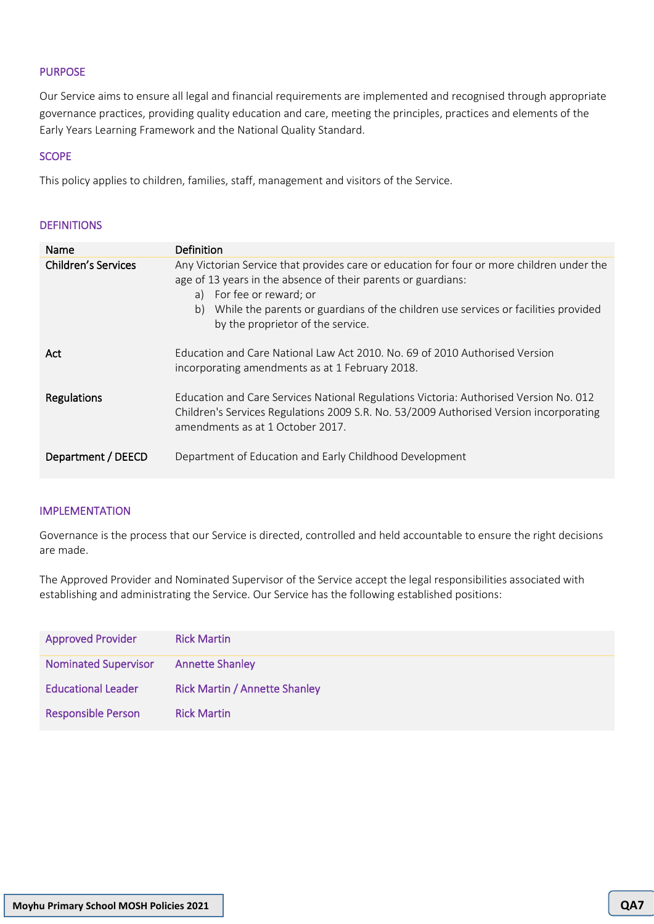## PURPOSE

Our Service aims to ensure all legal and financial requirements are implemented and recognised through appropriate governance practices, providing quality education and care, meeting the principles, practices and elements of the Early Years Learning Framework and the National Quality Standard.

## **SCOPE**

This policy applies to children, families, staff, management and visitors of the Service.

## **DEFINITIONS**

| Name                       | Definition                                                                                                                                                                                                                                                                                                              |  |  |
|----------------------------|-------------------------------------------------------------------------------------------------------------------------------------------------------------------------------------------------------------------------------------------------------------------------------------------------------------------------|--|--|
| <b>Children's Services</b> | Any Victorian Service that provides care or education for four or more children under the<br>age of 13 years in the absence of their parents or guardians:<br>a) For fee or reward; or<br>While the parents or guardians of the children use services or facilities provided<br>b)<br>by the proprietor of the service. |  |  |
| Act                        | Education and Care National Law Act 2010, No. 69 of 2010 Authorised Version<br>incorporating amendments as at 1 February 2018.                                                                                                                                                                                          |  |  |
| Regulations                | Education and Care Services National Regulations Victoria: Authorised Version No. 012<br>Children's Services Regulations 2009 S.R. No. 53/2009 Authorised Version incorporating<br>amendments as at 1 October 2017.                                                                                                     |  |  |
| Department / DEECD         | Department of Education and Early Childhood Development                                                                                                                                                                                                                                                                 |  |  |

## IMPLEMENTATION

Governance is the process that our Service is directed, controlled and held accountable to ensure the right decisions are made.

The Approved Provider and Nominated Supervisor of the Service accept the legal responsibilities associated with establishing and administrating the Service. Our Service has the following established positions:

| <b>Approved Provider</b>    | <b>Rick Martin</b>                   |
|-----------------------------|--------------------------------------|
| <b>Nominated Supervisor</b> | <b>Annette Shanley</b>               |
| <b>Educational Leader</b>   | <b>Rick Martin / Annette Shanley</b> |
| <b>Responsible Person</b>   | <b>Rick Martin</b>                   |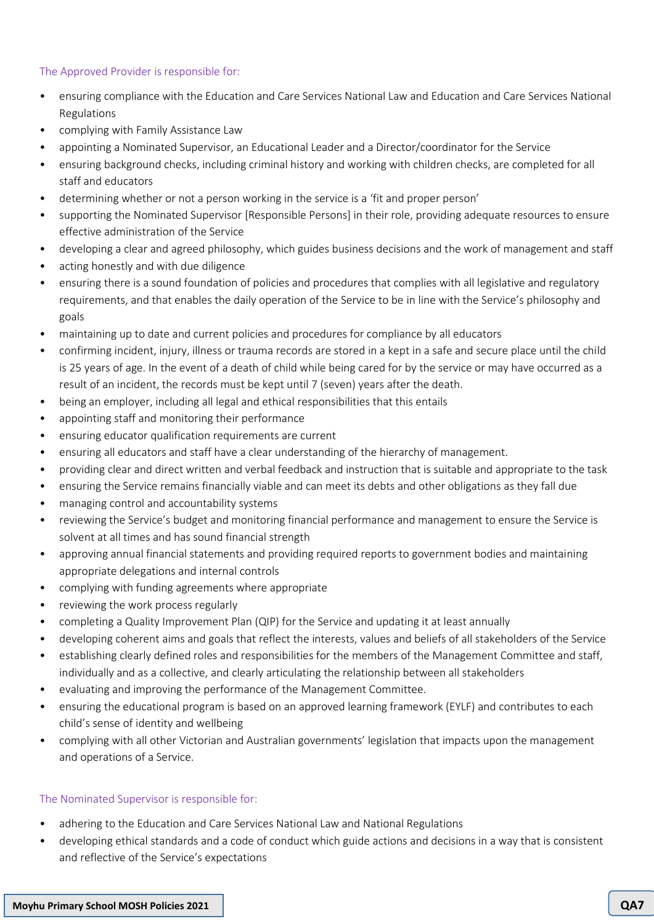## The Approved Provider is responsible for:

- ensuring compliance with the Education and Care Services National Law and Education and Care Services National Regulations
- complying with Family Assistance Law
- appointing a Nominated Supervisor, an Educational Leader and a Director/coordinator for the Service
- ensuring background checks, including criminal history and working with children checks, are completed for all staff and educators
- determining whether or not a person working in the service is a 'fit and proper person'
- supporting the Nominated Supervisor [Responsible Persons] in their role, providing adequate resources to ensure effective administration of the Service
- developing a clear and agreed philosophy, which guides business decisions and the work of management and staff
- acting honestly and with due diligence
- ensuring there is a sound foundation of policies and procedures that complies with all legislative and regulatory requirements, and that enables the daily operation of the Service to be in line with the Service's philosophy and goals
- maintaining up to date and current policies and procedures for compliance by all educators
- confirming incident, injury, illness or trauma records are stored in a kept in a safe and secure place until the child is 25 years of age. In the event of a death of child while being cared for by the service or may have occurred as a result of an incident, the records must be kept until 7 (seven) years after the death.
- being an employer, including all legal and ethical responsibilities that this entails
- appointing staff and monitoring their performance
- ensuring educator qualification requirements are current
- ensuring all educators and staff have a clear understanding of the hierarchy of management.
- providing clear and direct written and verbal feedback and instruction that is suitable and appropriate to the task
- ensuring the Service remains financially viable and can meet its debts and other obligations as they fall due
- managing control and accountability systems
- reviewing the Service's budget and monitoring financial performance and management to ensure the Service is solvent at all times and has sound financial strength
- approving annual financial statements and providing required reports to government bodies and maintaining appropriate delegations and internal controls
- complying with funding agreements where appropriate
- reviewing the work process regularly
- completing a Quality Improvement Plan (QIP) for the Service and updating it at least annually
- developing coherent aims and goals that reflect the interests, values and beliefs of all stakeholders of the Service
- establishing clearly defined roles and responsibilities for the members of the Management Committee and staff, individually and as a collective, and clearly articulating the relationship between all stakeholders
- evaluating and improving the performance of the Management Committee.
- ensuring the educational program is based on an approved learning framework (EYLF) and contributes to each child's sense of identity and wellbeing
- complying with all other Victorian and Australian governments' legislation that impacts upon the management and operations of a Service.

# The Nominated Supervisor is responsible for:

- adhering to the Education and Care Services National Law and National Regulations
- developing ethical standards and a code of conduct which guide actions and decisions in a way that is consistent and reflective of the Service's expectations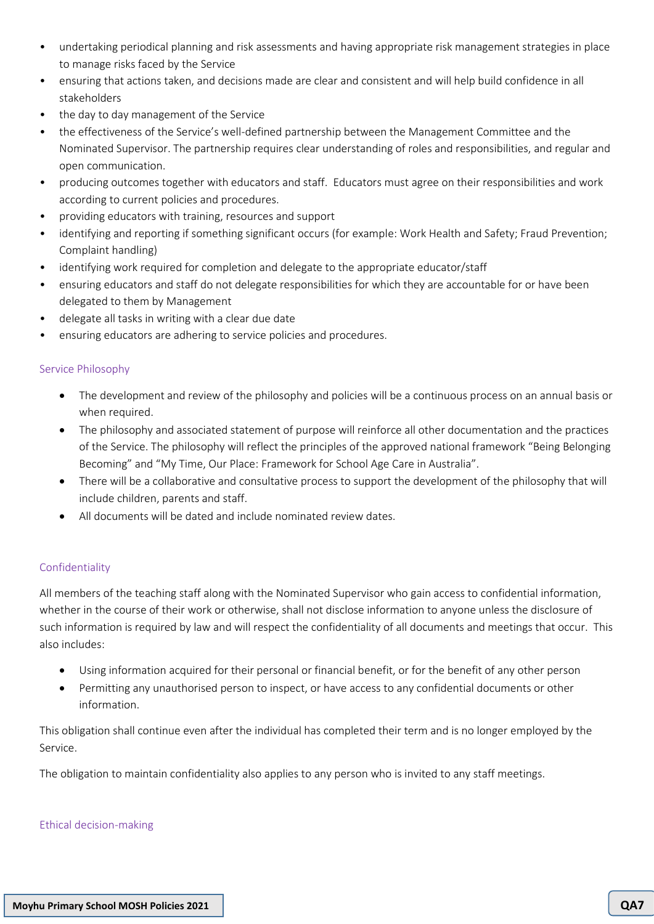- undertaking periodical planning and risk assessments and having appropriate risk management strategies in place to manage risks faced by the Service
- ensuring that actions taken, and decisions made are clear and consistent and will help build confidence in all stakeholders
- the day to day management of the Service
- the effectiveness of the Service's well-defined partnership between the Management Committee and the Nominated Supervisor. The partnership requires clear understanding of roles and responsibilities, and regular and open communication.
- producing outcomes together with educators and staff. Educators must agree on their responsibilities and work according to current policies and procedures.
- providing educators with training, resources and support
- identifying and reporting if something significant occurs (for example: Work Health and Safety; Fraud Prevention; Complaint handling)
- identifying work required for completion and delegate to the appropriate educator/staff
- ensuring educators and staff do not delegate responsibilities for which they are accountable for or have been delegated to them by Management
- delegate all tasks in writing with a clear due date
- ensuring educators are adhering to service policies and procedures.

# Service Philosophy

- The development and review of the philosophy and policies will be a continuous process on an annual basis or when required.
- The philosophy and associated statement of purpose will reinforce all other documentation and the practices of the Service. The philosophy will reflect the principles of the approved national framework "Being Belonging Becoming" and "My Time, Our Place: Framework for School Age Care in Australia".
- There will be a collaborative and consultative process to support the development of the philosophy that will include children, parents and staff.
- All documents will be dated and include nominated review dates.

# Confidentiality

All members of the teaching staff along with the Nominated Supervisor who gain access to confidential information, whether in the course of their work or otherwise, shall not disclose information to anyone unless the disclosure of such information is required by law and will respect the confidentiality of all documents and meetings that occur. This also includes:

- Using information acquired for their personal or financial benefit, or for the benefit of any other person
- Permitting any unauthorised person to inspect, or have access to any confidential documents or other information.

This obligation shall continue even after the individual has completed their term and is no longer employed by the Service.

The obligation to maintain confidentiality also applies to any person who is invited to any staff meetings.

#### Ethical decision-making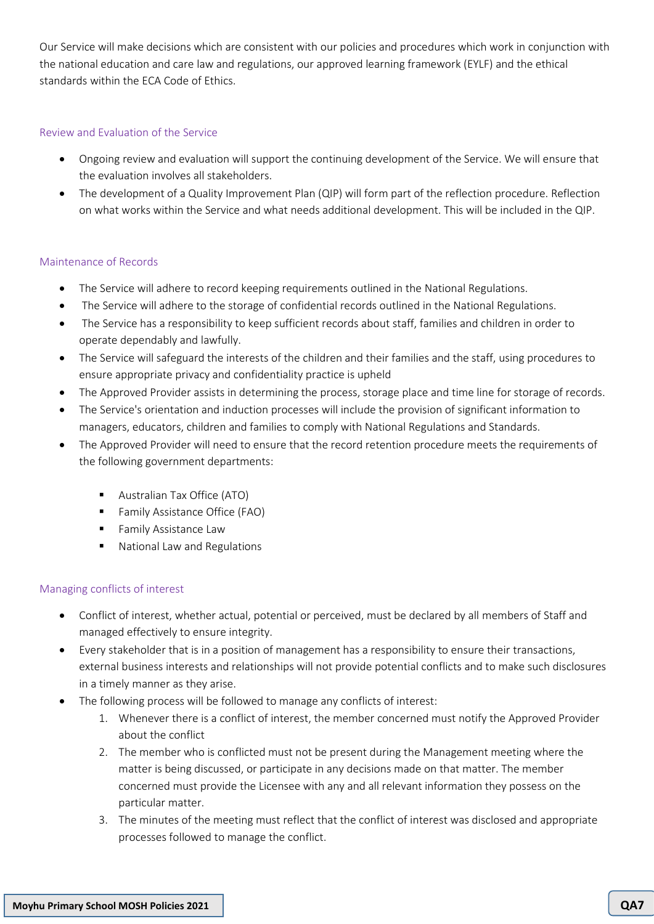Our Service will make decisions which are consistent with our policies and procedures which work in conjunction with the national education and care law and regulations, our approved learning framework (EYLF) and the ethical standards within the ECA Code of Ethics.

## Review and Evaluation of the Service

- Ongoing review and evaluation will support the continuing development of the Service. We will ensure that the evaluation involves all stakeholders.
- The development of a Quality Improvement Plan (QIP) will form part of the reflection procedure. Reflection on what works within the Service and what needs additional development. This will be included in the QIP.

## Maintenance of Records

- The Service will adhere to record keeping requirements outlined in the National Regulations.
- The Service will adhere to the storage of confidential records outlined in the National Regulations.
- The Service has a responsibility to keep sufficient records about staff, families and children in order to operate dependably and lawfully.
- The Service will safeguard the interests of the children and their families and the staff, using procedures to ensure appropriate privacy and confidentiality practice is upheld
- The Approved Provider assists in determining the process, storage place and time line for storage of records.
- The Service's orientation and induction processes will include the provision of significant information to managers, educators, children and families to comply with National Regulations and Standards.
- The Approved Provider will need to ensure that the record retention procedure meets the requirements of the following government departments:
	- Australian Tax Office (ATO)
	- Family Assistance Office (FAO)
	- **EXECUTE:** Family Assistance Law
	- National Law and Regulations

# Managing conflicts of interest

- Conflict of interest, whether actual, potential or perceived, must be declared by all members of Staff and managed effectively to ensure integrity.
- Every stakeholder that is in a position of management has a responsibility to ensure their transactions, external business interests and relationships will not provide potential conflicts and to make such disclosures in a timely manner as they arise.
- The following process will be followed to manage any conflicts of interest:
	- 1. Whenever there is a conflict of interest, the member concerned must notify the Approved Provider about the conflict
	- 2. The member who is conflicted must not be present during the Management meeting where the matter is being discussed, or participate in any decisions made on that matter. The member concerned must provide the Licensee with any and all relevant information they possess on the particular matter.
	- 3. The minutes of the meeting must reflect that the conflict of interest was disclosed and appropriate processes followed to manage the conflict.